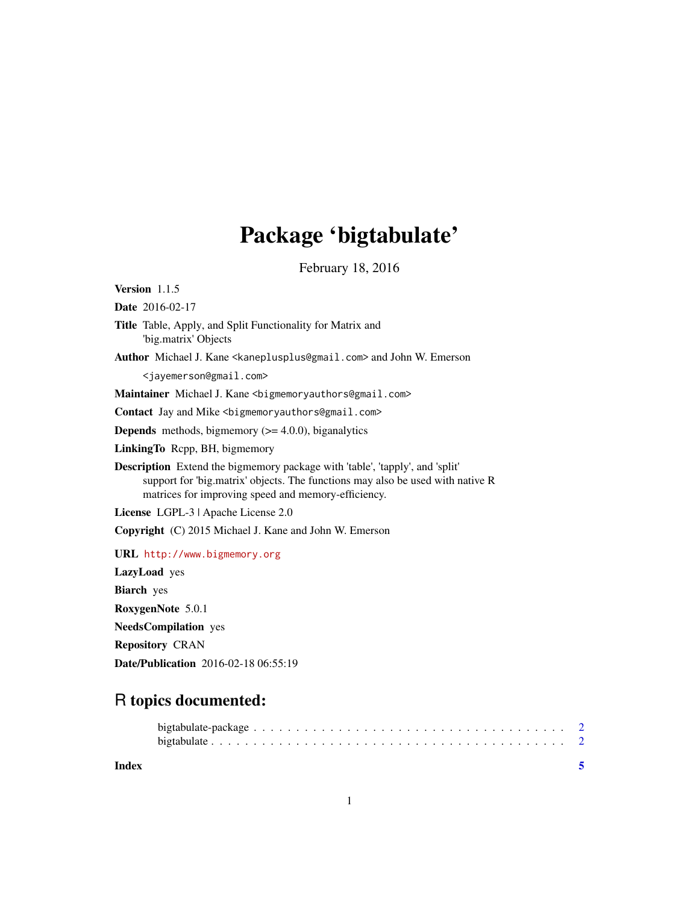## Package 'bigtabulate'

February 18, 2016

<span id="page-0-0"></span>Version 1.1.5 Date 2016-02-17 Title Table, Apply, and Split Functionality for Matrix and 'big.matrix' Objects Author Michael J. Kane <kaneplusplus@gmail.com> and John W. Emerson <jayemerson@gmail.com> Maintainer Michael J. Kane <bigmemoryauthors@gmail.com> Contact Jay and Mike <bigmemoryauthors@gmail.com> **Depends** methods, bigmemory  $(>= 4.0.0)$ , biganalytics LinkingTo Rcpp, BH, bigmemory Description Extend the bigmemory package with 'table', 'tapply', and 'split' support for 'big.matrix' objects. The functions may also be used with native R matrices for improving speed and memory-efficiency. License LGPL-3 | Apache License 2.0 Copyright (C) 2015 Michael J. Kane and John W. Emerson URL <http://www.bigmemory.org> LazyLoad yes Biarch yes RoxygenNote 5.0.1 NeedsCompilation yes Repository CRAN Date/Publication 2016-02-18 06:55:19

### R topics documented:

**Index** [5](#page-4-0). The second state of the second state of the second state of the second state of the second state of the second state of the second state of the second state of the second state of the second state of the second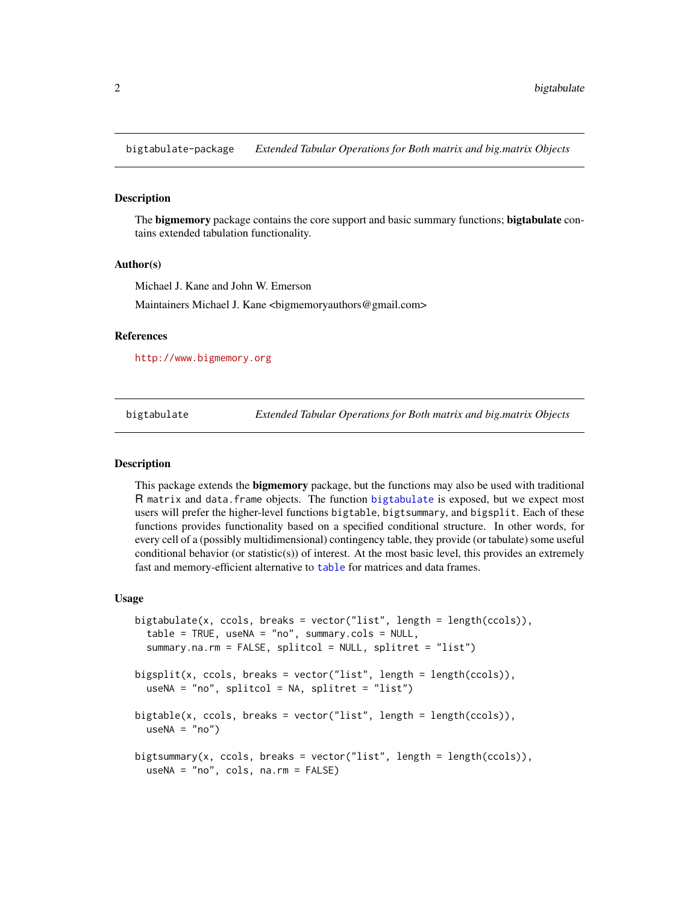<span id="page-1-0"></span>bigtabulate-package *Extended Tabular Operations for Both matrix and big.matrix Objects*

#### Description

The **bigmemory** package contains the core support and basic summary functions; **bigtabulate** contains extended tabulation functionality.

#### Author(s)

Michael J. Kane and John W. Emerson

Maintainers Michael J. Kane <br/>bigmemoryauthors@gmail.com>

#### References

<http://www.bigmemory.org>

<span id="page-1-1"></span>bigtabulate *Extended Tabular Operations for Both matrix and big.matrix Objects*

#### Description

This package extends the **bigmemory** package, but the functions may also be used with traditional R matrix and data.frame objects. The function [bigtabulate](#page-1-1) is exposed, but we expect most users will prefer the higher-level functions bigtable, bigtsummary, and bigsplit. Each of these functions provides functionality based on a specified conditional structure. In other words, for every cell of a (possibly multidimensional) contingency table, they provide (or tabulate) some useful conditional behavior (or statistic(s)) of interest. At the most basic level, this provides an extremely fast and memory-efficient alternative to [table](#page-0-0) for matrices and data frames.

#### Usage

```
bigtabulate(x, ccols, breaks = vector("list", length = length(ccols)),
  table = TRUE, useNA = "no", summary.cols = NULL,
  summary.na.rm = FALSE, splitcol = NULL, splitret = "list")
bigsplit(x, ccols, breaks = vector("list", length = length(ccols)),
 useNA = "no", splitcol = NA, splitret = "list")
bigtable(x, ccols, breaks = vector("list", length = length(ccols)),
  useNA = "no")bigtsummary(x, ccols, breaks = vector("list", length = length(ccols)),
 useNA = "no", cols, na.rm = FALSE)
```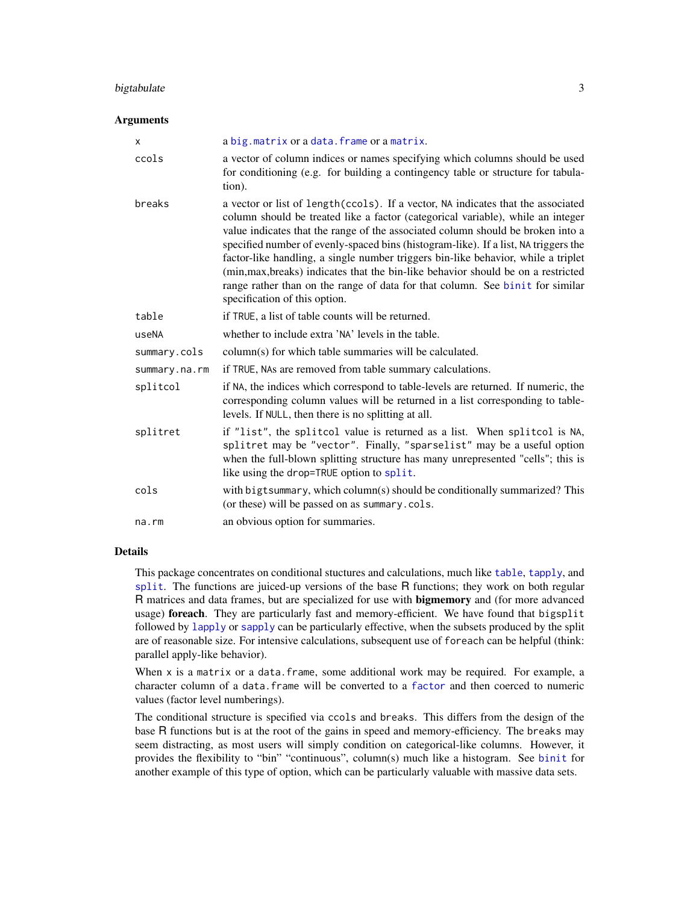#### <span id="page-2-0"></span>bigtabulate 3

#### Arguments

| X             | a big. matrix or a data. frame or a matrix.                                                                                                                                                                                                                                                                                                                                                                                                                                                                                                                                                                                               |
|---------------|-------------------------------------------------------------------------------------------------------------------------------------------------------------------------------------------------------------------------------------------------------------------------------------------------------------------------------------------------------------------------------------------------------------------------------------------------------------------------------------------------------------------------------------------------------------------------------------------------------------------------------------------|
| ccols         | a vector of column indices or names specifying which columns should be used<br>for conditioning (e.g. for building a contingency table or structure for tabula-<br>tion).                                                                                                                                                                                                                                                                                                                                                                                                                                                                 |
| breaks        | a vector or list of length(ccols). If a vector, NA indicates that the associated<br>column should be treated like a factor (categorical variable), while an integer<br>value indicates that the range of the associated column should be broken into a<br>specified number of evenly-spaced bins (histogram-like). If a list, NA triggers the<br>factor-like handling, a single number triggers bin-like behavior, while a triplet<br>(min, max, breaks) indicates that the bin-like behavior should be on a restricted<br>range rather than on the range of data for that column. See binit for similar<br>specification of this option. |
| table         | if TRUE, a list of table counts will be returned.                                                                                                                                                                                                                                                                                                                                                                                                                                                                                                                                                                                         |
| useNA         | whether to include extra 'NA' levels in the table.                                                                                                                                                                                                                                                                                                                                                                                                                                                                                                                                                                                        |
| summary.cols  | column(s) for which table summaries will be calculated.                                                                                                                                                                                                                                                                                                                                                                                                                                                                                                                                                                                   |
| summary.na.rm | if TRUE, NAs are removed from table summary calculations.                                                                                                                                                                                                                                                                                                                                                                                                                                                                                                                                                                                 |
| splitcol      | if NA, the indices which correspond to table-levels are returned. If numeric, the<br>corresponding column values will be returned in a list corresponding to table-<br>levels. If NULL, then there is no splitting at all.                                                                                                                                                                                                                                                                                                                                                                                                                |
| splitret      | if "list", the splitcol value is returned as a list. When splitcol is NA,<br>splitret may be "vector". Finally, "sparselist" may be a useful option<br>when the full-blown splitting structure has many unrepresented "cells"; this is<br>like using the drop=TRUE option to split.                                                                                                                                                                                                                                                                                                                                                       |
| cols          | with bigtsummary, which column(s) should be conditionally summarized? This<br>(or these) will be passed on as summary.cols.                                                                                                                                                                                                                                                                                                                                                                                                                                                                                                               |
| na.rm         | an obvious option for summaries.                                                                                                                                                                                                                                                                                                                                                                                                                                                                                                                                                                                                          |

#### Details

This package concentrates on conditional stuctures and calculations, much like [table](#page-0-0), [tapply](#page-0-0), and [split](#page-0-0). The functions are juiced-up versions of the base R functions; they work on both regular R matrices and data frames, but are specialized for use with bigmemory and (for more advanced usage) foreach. They are particularly fast and memory-efficient. We have found that bigsplit followed by [lapply](#page-0-0) or [sapply](#page-0-0) can be particularly effective, when the subsets produced by the split are of reasonable size. For intensive calculations, subsequent use of foreach can be helpful (think: parallel apply-like behavior).

When x is a matrix or a data.frame, some additional work may be required. For example, a character column of a data.frame will be converted to a [factor](#page-0-0) and then coerced to numeric values (factor level numberings).

The conditional structure is specified via ccols and breaks. This differs from the design of the base R functions but is at the root of the gains in speed and memory-efficiency. The breaks may seem distracting, as most users will simply condition on categorical-like columns. However, it provides the flexibility to "bin" "continuous", column(s) much like a histogram. See [binit](#page-0-0) for another example of this type of option, which can be particularly valuable with massive data sets.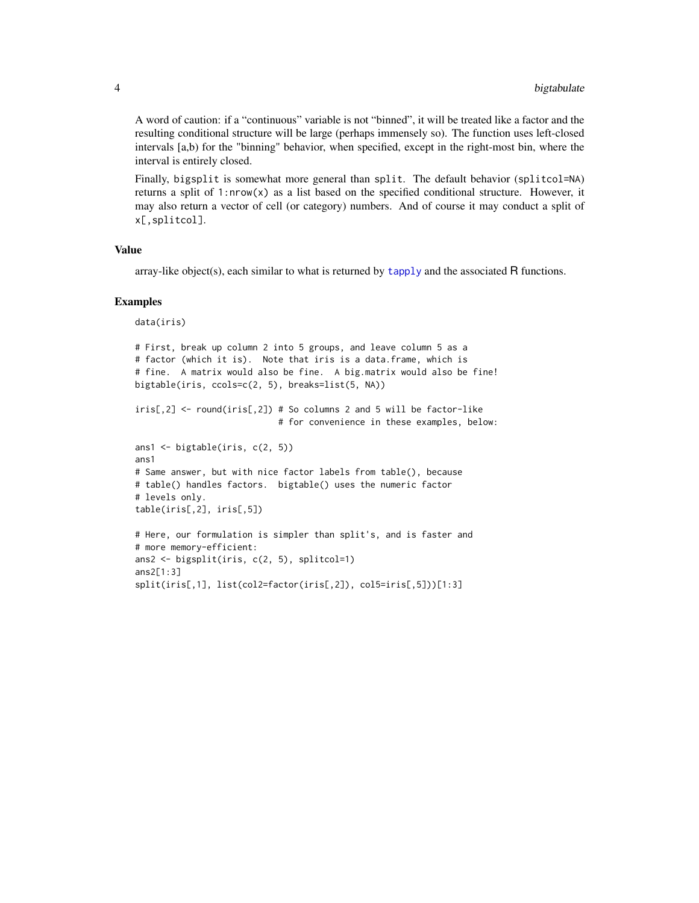<span id="page-3-0"></span>A word of caution: if a "continuous" variable is not "binned", it will be treated like a factor and the resulting conditional structure will be large (perhaps immensely so). The function uses left-closed intervals [a,b) for the "binning" behavior, when specified, except in the right-most bin, where the interval is entirely closed.

Finally, bigsplit is somewhat more general than split. The default behavior (splitcol=NA) returns a split of 1:nrow(x) as a list based on the specified conditional structure. However, it may also return a vector of cell (or category) numbers. And of course it may conduct a split of x[,splitcol].

#### Value

array-like object(s), each similar to what is returned by [tapply](#page-0-0) and the associated R functions.

#### Examples

```
data(iris)
# First, break up column 2 into 5 groups, and leave column 5 as a
# factor (which it is). Note that iris is a data.frame, which is
# fine. A matrix would also be fine. A big.matrix would also be fine!
bigtable(iris, ccols=c(2, 5), breaks=list(5, NA))
iris[, 2] \leq round(iris[, 2]) # So columns 2 and 5 will be factor-like
                            # for convenience in these examples, below:
ans1 <- bigtable(iris, c(2, 5))
ans1
# Same answer, but with nice factor labels from table(), because
# table() handles factors. bigtable() uses the numeric factor
# levels only.
table(iris[,2], iris[,5])
# Here, our formulation is simpler than split's, and is faster and
# more memory-efficient:
ans2 <- bigsplit(iris, c(2, 5), splitcol=1)
ans2[1:3]
split(iris[,1], list(col2=factor(iris[,2]), col5=iris[,5]))[1:3]
```